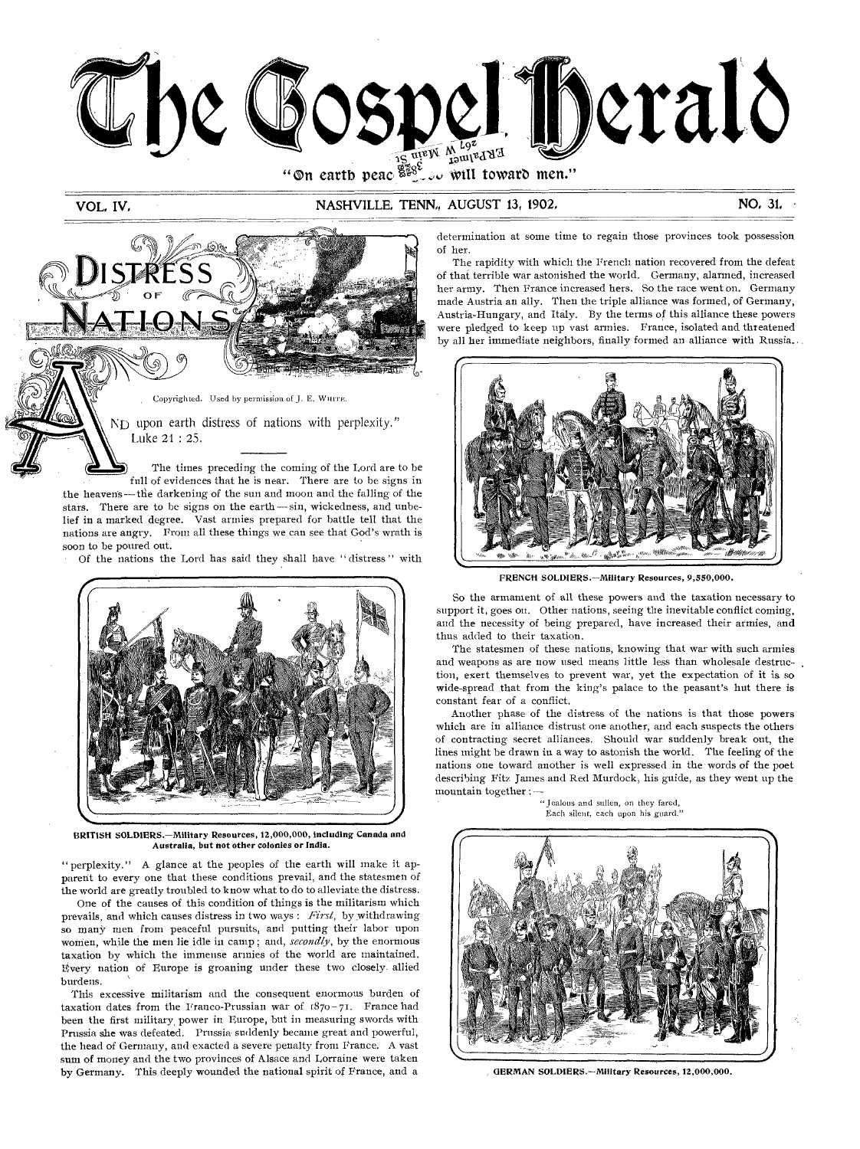

### VOL, IV, NASHVILLE, TENN., AUGUST 13, 1902. NO, 31, NO, 31,



soon to be poured out. Of the nations the Lord has said they shall have " distress " with



BRITISH SOLDIERS.—Military Resources, 12,000,000, including Canada and Australia, but not other colonies or India.

" perplexity." A glance at the peoples of the earth will make it apparent to every one that these conditions prevail, and the statesmen of the world are greatly troubled to know what to do to alleviate the distress.

One of the causes of this condition of things is the militarism which prevails, and which causes distress in two ways : *First,* by ,withdrawing so many men from peaceful pursuits, and putting their labor upon women, while the men lie idle in camp ; and, *secondly,* by the enormous taxation by which the immense armies of the world are maintained. Every nation of Europe is groaning under these two closely. allied burdens.

This excessive militarism and the consequent enormous burden of taxation dates from the Franco-Prussian war of  $1870 - 71$ . France had been the first military, power in Europe, but in measuring swords with Prussia she was defeated. Prussia suddenly became great and powerful, the head of Germany, and exacted a severe penalty from France. A vast sum of money and the two provinces of Alsace and Lorraine were taken by Germany. This deeply wounded the national spirit of France, and a

determination at some time to regain those provinces took possession of her.

The rapidity with which the French nation recovered from the defeat of that terrible war astonished the world. Germany, alarmed, increased her army. Then France increased hers. So the race went on. Germany made Austria an ally. Then the triple alliance was formed, of Germany, Austria-Hungary, and Italy. By the terms of this alliance these powers were pledged to keep up vast armies. France, isolated and threatened by all her immediate neighbors, finally formed an alliance with Russia..



FRENCH SOLDIERS.—Military Resources, 9,550,000.

So the armament of all these powers and the taxation necessary to support it, goes on. Other nations, seeing the inevitable conflict coming, and the necessity of being prepared, have increased their armies, and thus added to their taxation.

The statesmen of these nations, knowing that war with such armies and weapons as are now used means little less than wholesale destruction, exert themselves to prevent war, yet the expectation of it is so wide-spread that from the king's palace to the peasant's hut there is constant fear of a conflict.

Another phase of the distress of the nations is that those powers which are in alliance distrust one another, and each suspects the others of contracting secret alliances. Should war suddenly break out, the lines might be drawn in a way to astonish the world. The feeling of the nations one toward another is well expressed in the words of the poet describing Fits James and Red Murdock, his guide, as they went up the mountain together :—

" Iealous and sullen, on they fared, Each silent, each upon his guard."



, GERMAN SOLDIERS.—Military Resources, 12,000,000.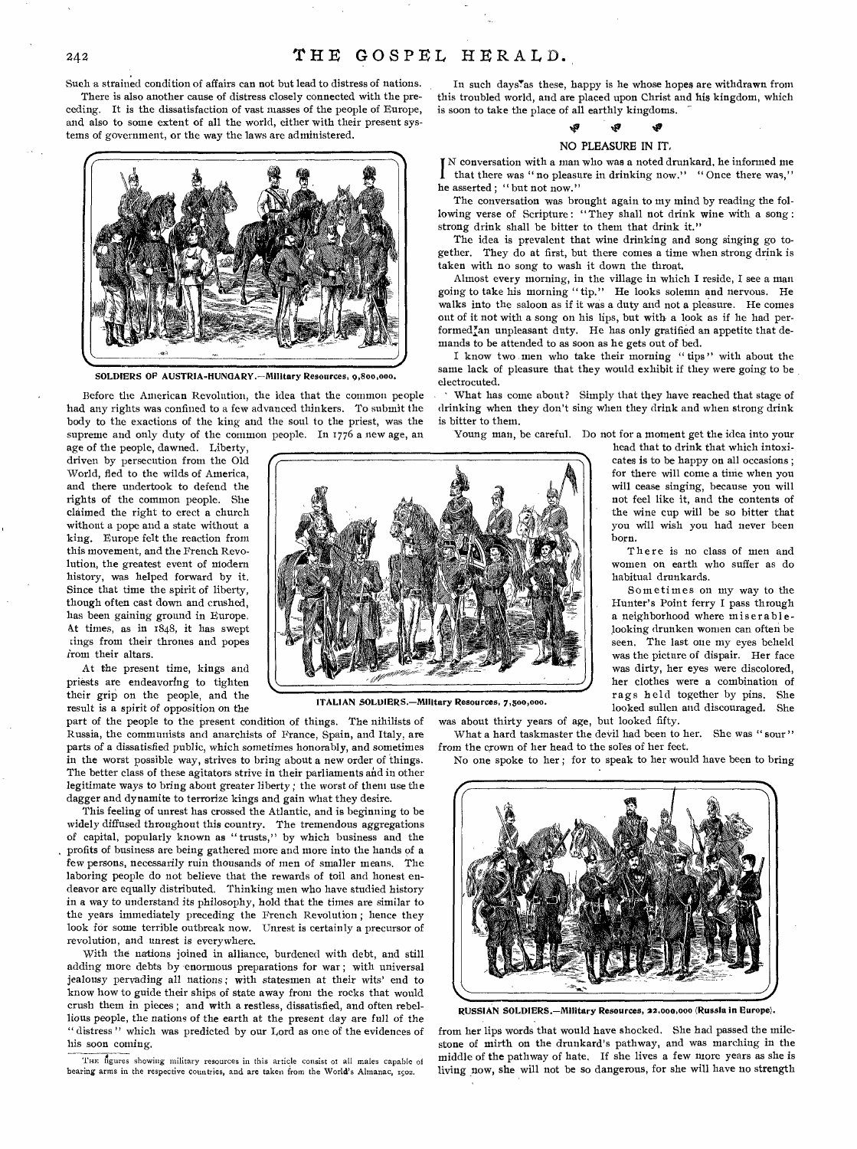Such a strained condition of affairs can not but lead to distress of nations.

There is also another cause of distress closely connected with the preceding. It is the dissatisfaction of vast masses of the people of Europe, and also to some extent of all the world, either with their present systems of government, or the way the laws are administered.



SOLDIERS OP AUSTRIA-HUNGARY.—Military Resources, 9,800,000.

Before the American Revolution, the idea that the common people had any rights was confined to a few advanced thinkers. To submit the body to the exactions of the king and the soul to the priest, was the supreme and only duty of the common people. In 1776 a new age, an

age of the people, dawned. Liberty, driven by persecution from the Old World, fled to the wilds of America, and there undertook to defend the rights of the common people. She claimed the right to erect a church without a pope and a state without a king. Europe felt the reaction from this movement, and the French Revolution, the greatest event of modern history, was helped forward by it. Since that time the spirit of liberty, though often cast down and crushed, has been gaining ground in Europe. At times, as in 1848, it has swept zings from their thrones and popes irom their altars.

At the present time, kings and priests are endeavoring to tighten their grip on the people, and the result is a spirit of opposition on the

part of the people to the present condition of things. The nihilists of Russia, the communists and anarchists of France, Spain, and Italy, are parts of a dissatisfied public, which sometimes honorably, and sometimes in the worst possible way, strives to bring about a new order of things. The better class of these agitators strive in their parliaments and in other legitimate ways to bring about greater liberty ; the worst of them use the dagger and dynamite to terrorize kings and gain what they desire.

This feeling of unrest has crossed the Atlantic, and is beginning to be widely diffused throughout this country. The tremendous aggregations of capital, popularly known as " trusts," by which business and the profits of business are being gathered more and more into the hands of a few persons, necessarily ruin thousands *of* men of smaller means. The laboring people do not believe that the rewards of toil and honest endeavor are equally distributed. Thinking men who have studied history in a way to understand its philosophy, hold that the times are similar to the years immediately preceding the French Revolution ; hence they look for some terrible outbreak now. Unrest is certainly a precursor of revolution, and unrest is everywhere.

With the nations joined in alliance, burdened with debt, and still adding more debts by enormous preparations for war ; with universal jealousy pervading all nations ; with statesmen at their wits' end to know how to guide their ships of state away from the rocks that would crush them in pieces ; and with a restless, dissatisfied, and often rebellious people, the nations of the earth at the present day are *full* of the " distress" which was predicted by our Lord as one of the evidences of his soon coming.

THE figures showing military resources in this article consist of all males capable of bearing arms in the respective countries, and are taken from the World's Almanac, 1502.

In such days'as these, happy is he whose hopes are withdrawn from this troubled world, and are placed upon Christ and his kingdom, which is soon to take the place of all earthly kingdoms.

#### tis

#### NO PLEASURE IN IT,

I N conversation with a man who was a noted drunkard, he informed me that there was " no pleasure in drinking now." " Once there was," he asserted ; " but not now."

The conversation was brought again to my mind by reading the following verse of Scripture: "They shall not drink wine with a song: strong drink shall be bitter to them that drink it."

The idea is prevalent that wine drinking and song singing go together. They do at first, but there comes a time when strong drink is taken with no song to wash it down the throat.

Almost every morning, in the village in which I reside, I see a man going to take his morning "tip." He looks solemn and nervous. He walks into the saloon as if it was a duty and not a pleasure. He comes out of it not with a song on his lips, but with a look as if he had performedlan unpleasant duty. He has only gratified an appetite that demands to be attended to as soon as he gets out of bed.

I know two men who take their morning " tips " with about the same lack of pleasure that they would exhibit if they were going to be electrocuted.

What has come about? Simply that they have reached that stage of drinking when they don't sing when they drink and when strong drink is bitter to them.

Young man, be careful. Do not for a moment get the idea into your

head that to drink that which intoxicates is to be happy on all occasions ; for there will come a time when you will cease singing, because you will not feel like it, and the contents of the wine cup will be so bitter that you will wish you had never been born.

There is no class of men and women on earth who suffer as do habitual drunkards.

Sometimes on my way to the Hunter's Point ferry I pass through a neighborhood where miserable looking drunken women can often be seen. The last one my eyes beheld was the picture of dispair. Her face was dirty, her eyes were discolored, her clothes were a combination of rags held together by pins. She looked sullen and discouraged. She



ITALIAN SOLDIERS.—MIlitary Resources, 7,500,000.

was about thirty years of age, but looked fifty. What a hard taskmaster the devil had been to her. She was "sour"

from the crown of her head to the soles of her feet.

No one spoke to her ; for to speak to her would have been to bring



RUSSIAN SOLDIERS.—Military Resources, **22,000,000** (Russia in Europe).

from her lips words that would have shocked. She had passed the milestone of mirth on the drunkard's pathway, and was marching in the middle of the pathway of hate. If she lives a few more years as she is living now, she will not be so dangerous, for she will have no strength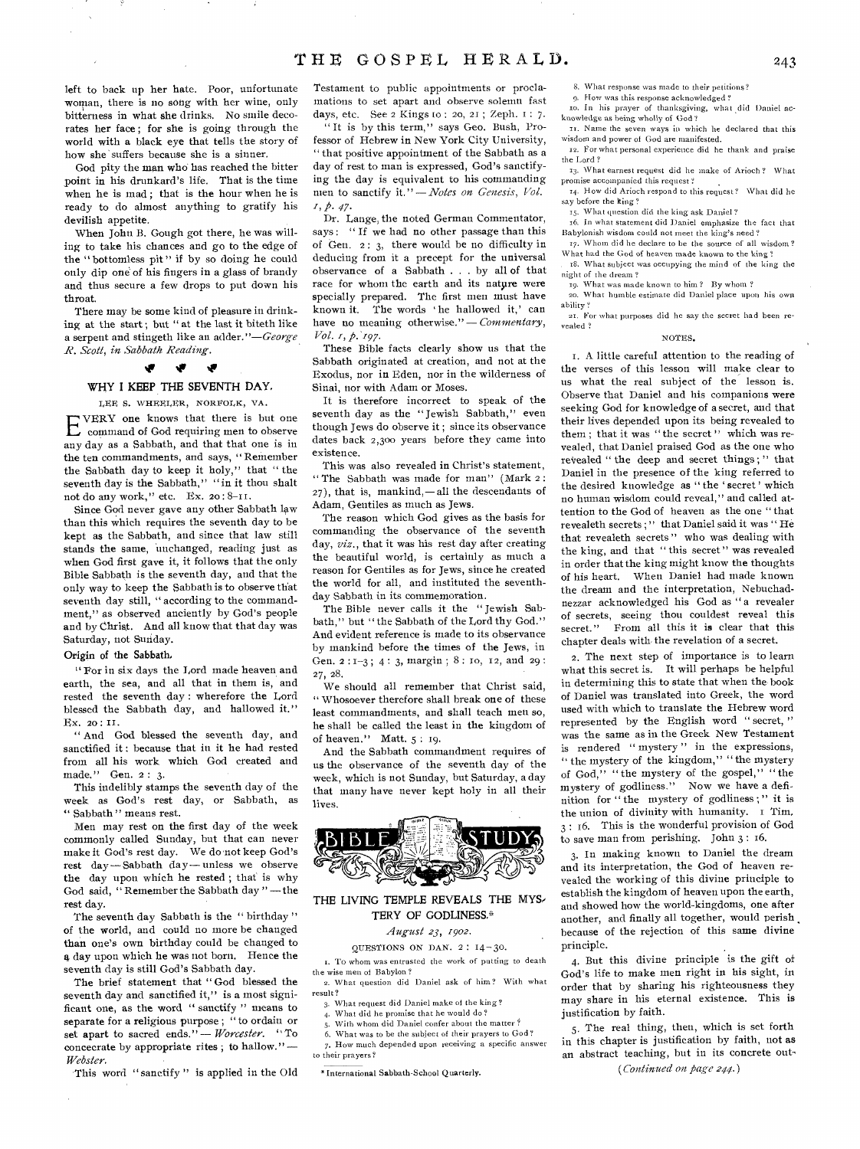left to back up her hate. Poor, unfortunate woman, there is no song with her wine, only bitterness in what she drinks. No smile decorates her face ; for she is going through the world with a black eye that tells the story of how she suffers because she is a sinner.

God pity the man who has reached the bitter point in his drunkard's life. That is the time when he is mad ; that is the hour when he is ready to do almost anything to gratify his devilish appetite.

When John B. Gough got there, he was willing to take his chances and go to the edge of the " bottomless pit " if by so doing he could only dip one of his fingers in a glass of brandy and thus secure a few drops to put down his throat.

There may be some kind of pleasure in drinking at the start ; but " at the last it biteth like a serpent and stingeth like an adder." $-George$ *R. Scott, in Sabbath Reading.* 

#### **iv**

#### WHY I KEEP THE SEVENTH DAY,

LEE S. WHEELER, NOREOLK, VA.

E VERY one knows that there is but one command of God requiring men to observe any day as a Sabbath, and that that one is in the ten commandments, and says, "Remember the Sabbath day to keep it holy," that " the seventh day is the Sabbath," "in it thou shalt not do any work," etc. Ex. 20 : 8-11.

Since God never gave any other Sabbath law than this which requires the seventh day to be kept as the Sabbath, and since that law still stands the same, unchanged, reading just as when God first gave it, it follows that the only Bible Sabbath is the seventh day, and that the only way to keep the Sabbath is to observe that seventh day still, "according to the commandment," as observed anciently by God's people and by Christ. And all know that that day was Saturday, not Sunday.

#### Origin of the Sabbath,

" For in six days the Lord made heaven and earth, the sea, and all that in them is, and rested the seventh day : wherefore the Lord blessed the Sabbath day, and hallowed it." Ex. 20: II.

" And God blessed the seventh day, and sanctified it : because that in it he had rested from all his work which God created and made." Gen. 2: 3.

This indelibly stamps the seventh day of the week as God's rest day, or Sabbath, as " Sabbath " means rest.

Men may rest on the first day of the week commonly called Sunday, but that can never make it God's rest day. We do not keep God's rest day-Sabbath day-unless we observe the day upon which he rested; that is why God said, "Remember the Sabbath day"-the rest day.

The seventh day Sabbath is the " birthday" of the world, and could no more be changed than one's own birthday could be changed to a day upon which he was not born. Hence the seventh day is still God's Sabbath day.

The brief statement that " God blessed the seventh day and sanctified it," is a most significant one, as the word " sanctify " means to separate for a religious purpose ; " to ordain or set apart to sacred ends." - Worcester. "To separate for a religious purpose; "to ordain or<br>set apart to sacred ends." *-- Worcester*. "To<br>concecrate by appropriate rites; to hallow." --<br>Webster *Webster.* 

This word "sanctify" is applied in the Old

Testament to public appointments or proclamations to set apart and observe solemn fast days, etc. See 2 Kings to : 20, 21 ; Zeph. I : 7.

" It is by this term," says Geo. Bush, Professor of Hebrew in New York City University, " that positive appointment of the Sabbath as a day of rest to man is expressed, God's sanctifying the day is equivalent to his commanding men to sanctify it." - Notes on Genesis, Vol. *fi• 47.* 

Dr. Lange, the noted German Commentator, says: "If we had no other passage than this of Gen. 2: 3, there would be no difficulty in deducing from it a precept for the universal observance of a Sabbath . . . by all of that race for whom the earth and its natyre were specially prepared. The first men must have known it. The words ' he hallowed it,' can have no meaning otherwise." - *Commentary*, *Vol. 1,p. 197.* 

These Bible facts clearly show us that the Sabbath originated at creation, and not at the Exodus, nor in Eden, nor in the wilderness of Sinai, nor with Adam or Moses.

It is therefore incorrect to speak of the seventh day as the "Jewish Sabbath," even though Jews do observe it ; since its observance dates back 2,300 years before they came into existence.

This was also revealed in Christ's statement, " The Sabbath was made for man" (Mark 2 :  $27$ ), that is, mankind,—all the descendants of Adam, Gentiles as much as Jews.

The reason which God gives as the basis for commanding the observance of the seventh day, *viz.,* that it was his rest day after creating the beautiful world, is certainly as much a reason for Gentiles as for Jews, since he created the world for all, and instituted the seventhday Sabbath in its commemoration.

The Bible never calls it the " Jewish Sabbath," but "the Sabbath of the Lord thy God." And evident reference is made to its observance by mankind before the times of the Jews, in Gen. 2: 1-3; 4: 3, margin; 8: 10, 12, and 29: 27, 28.

We should all remember that Christ said, " Whosoever therefore shall break one of these least commandments, and shall teach men so, he shall be called the least in the kingdom of of heaven." Matt. 5 : 19.

And the Sabbath commandment requires of us the observance of the seventh day of the week, which is not Sunday, but Saturday, a day that many have never kept holy in all their lives.



#### THE LIVING TEMPLE REVEALS THE MY& TERY OF GODLINESS,"

#### *August 23, 19oz.*

#### QUESTIONS ON DAN. 2 : 14-30.

1. To whom was entrusted the work of putting to death the wise men of Babylon?

a. What question did Daniel ask of him? With what result?

- 3. What request did Daniel make of the king?
- 4. What did he promise that he would do ? With whom did Daniel confer about the matter?
- 6. What was to be the subject of their prayers to God?
- 7. How much depended upon receiving a specific answer
- to their prayers?

\* International Sabbath-School Quarterly.

8. What response was made to their petitions?

9. Flow was this response acknowledged ?

In his prayer of thanksgiving, what did Daniel acknowledge as being wholly of God? II. Name the seven ways in which he declared that this

wisdom and power of God are manifested. 12. For what personal experience did he thank and praise the Lord ?

13. What earnest request did he make of Arioch ? What promise accompanied this request?

14. How did Arioch respond to this request? What did he say before the king?

15. What question did the king ask Daniel?

16. In what statement did Daniel emphasize the fact that Babylonish wisdom could not meet the king's need ?

17. Whom did he declare to be the source of all wisdom ? What had the God of heaven made known to the king ?

x8. What subject was occupying the mind of the king the night of the dream ?

19. What was made known to him ? By whom ? so. What humble estimate did Daniel place upon his own ability ?

**am.** For what purposes did he say the secret had been revealed ?

#### NOTES.

1. A little careful attention to the reading of the verses of this lesson will make clear to us what the real subject of the lesson is. Observe that Daniel and his companions were seeking God for knowledge of a secret, and that their lives depended upon its being revealed to them ; that it was " the secret " which was revealed, that Daniel praised God as the one who revealed " the deep and secret things ; " that Daniel in the presence of the king referred to the desired knowledge as " the ' secret' which no human wisdom could reveal," and called attention to the God of heaven as the one " that revealeth secrets;" that Daniel said it was "He that revealeth secrets" who was dealing with the king, and that "this secret" was revealed in order that the king might know the thoughts of his heart. When Daniel had made known the dream and the interpretation, Nebuchadnezzar acknowledged his God as " a revealer of secrets, seeing thou couldest reveal this secret." From all this it is clear that this chapter deals with, the revelation of a secret.

2. The next step of importance is to learn what this secret is. It will perhaps be helpful in determining this to state that when the book of Daniel was translated into Greek, the word used with which to translate the Hebrew word represented by the English word " secret, " was the same as in the Greek New Testament is rendered " mystery " in the expressions, " the mystery of the kingdom," " the mystery of God," " the mystery of the gospel," " the mystery of godliness." Now we have a definition for " the mystery of godliness ; " it is the union of divinity with humanity. I Tim, 3 : 16. This is the wonderful provision of God to save man from perishing. John 3 : 16.

3. In making known to Daniel the dream and its interpretation, the God of heaven revealed the working of this divine principle to establish the kingdom of heaven upon the earth, and showed how the world-kingdoms, one after another, and finally all together, would perish because of the rejection of this same divine principle.

4. But this divine principle is the gift of God's life to make men right in his sight, in order that by sharing his righteousness they may share in his eternal existence. This is justification by faith.

5. The real thing, then, which is set forth in this chapter is justification by faith, not as an abstract teaching, but in its concrete out- ( *Continued on page 244.)*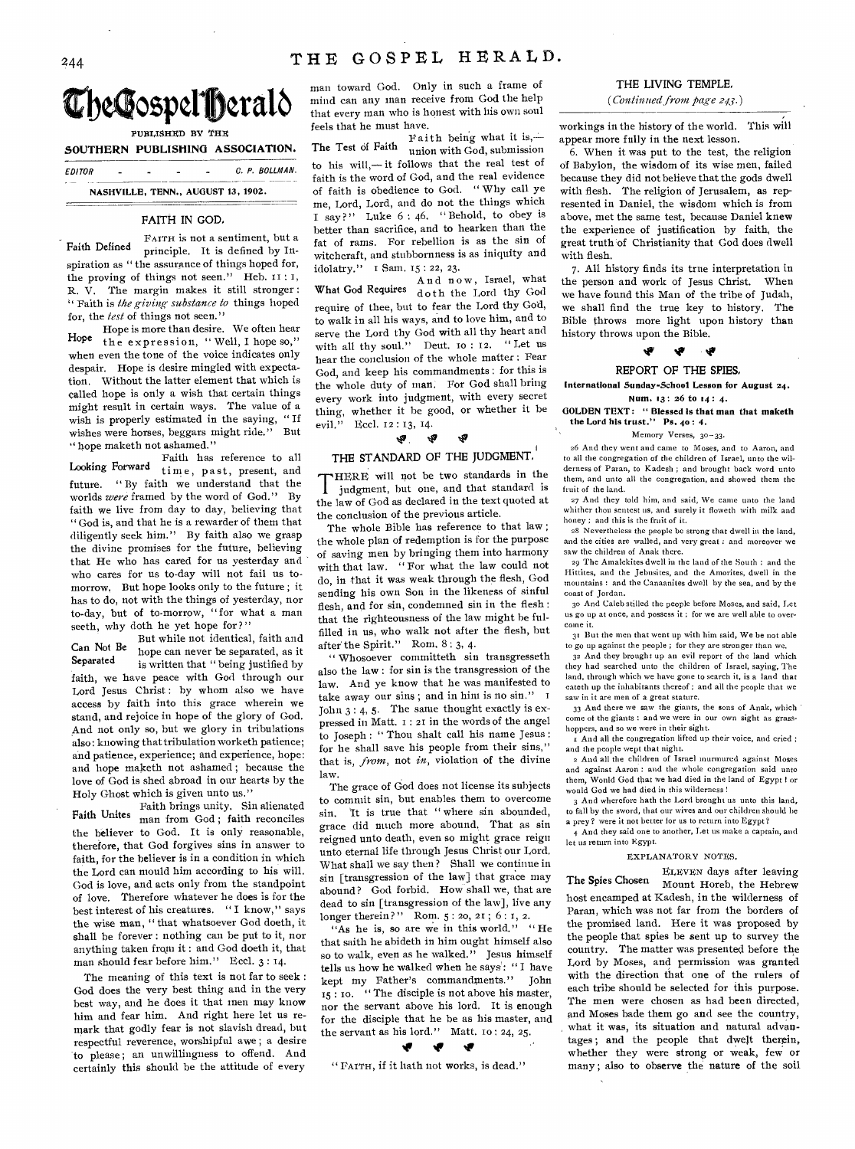# 244 THE GOSPEL HERALD.





PUBLISHED BY THE

SOUTHERN PUBLISHING ASSOCIATION.

 $EDITOR$   $C. P. BOLLMAN$ . **NASHVILLE, TENN., AUGUST 13, 1902.** 

#### FAITH IN GOD,

FAITH is not a sentiment, but a Faith Defined principle. It is defined by Inspiration as " the assurance of things hoped for, the proving of things not seen." Heb.  $11:1$ , R. V. The margin makes it still stronger : Faith is *the giving substance to* things hoped for, the *lest* of things not seen."

Hope is more than desire. We often hear Hope the expression, "Well, I hope so," when even the tone of the voice indicates only despair. Hope is desire mingled with expectation. Without the latter element that which is called hope is only a wish that certain things might result in certain ways. The value of a wish is properly estimated in the saying, " If wishes were horses, beggars might ride." But " hope maketh not ashamed."

Faith has reference to all Looking Forward time, past, present, and future. " By faith we understand that the worlds *were* framed by the word of God." By faith we live from day to day, believing that " God is, and that he is a rewarder of them that diligently seek him." By faith also we grasp the divine promises for the future, believing that He who has cared for us yesterday and who cares for us to-day will not fail us tomorrow. But hope looks only to the future ; it has to do, not with the things of yesterday, nor to-day, but of to-morrow, "for what a man seeth, why doth he yet hope for?"

But while not identical, faith and Can Not Be<br>hope can never be separated, as it<br>is multion that it being instituted, but is written that " being justified by faith, we have peace with God through our Lord Jesus Christ: by whom also we have access by faith into this grace wherein we stand, and rejoice in hope of the glory of God. And not only so, but we glory in tribulations also: knowing that tribulation worketh patience; and patience, experience; and experience, hope: and hope maketh not ashamed ; because the love of God is shed abroad in our hearts by the Holy Ghost which is given unto us."

Faith brings unity. Sin alienated Faith Unites man from God; faith reconciles the believer to God. It is only reasonable, therefore, that God forgives sins in answer to faith, for the believer is in a condition in which the Lord can mould him according to his will. God is love, and acts only from the standpoint of love. Therefore whatever he does is for the best interest of his creatures. " I know," says the wise man, " that whatsoever God doeth, it shall be forever : nothing can be put to it, nor anything taken from it : and God doeth it, that man should fear before him." Eccl. 3:14.

The meaning of this text is not far to seek : God does the very best thing and in the very best way, and he does it that men may know him and fear him. And right here let us remark that godly fear is not slavish dread, but respectful reverence, worshipful awe ; a desire to please ; an unwillingness to offend. And certainly this should be the attitude of every

man toward God. Only in such a frame of mind can any man receive from God the help that every man who is honest with his own soul feels that he must have.

Faith being what it is,— The Test of Faith union with God, submission to his will,— it follows that the real test of faith is the word of God, and the real evidence of faith is obedience to God. " Why call ye me, Lord, Lord, and do not the things which I say?" Luke  $6:46$ . "Behold, to obey is better than sacrifice, and to hearken than the fat of rams. For rebellion is as the sin of witchcraft, and stubbornness is as iniquity and idolatry." I Sam. 15 : 22, 23.

And now, Israel, what What God Requires doth the Lord thy God require of thee, but to fear the Lord thy God, to walk in all his ways, and to love him, and to serve the Lord thy God with all thy heart and with all thy soul." Deut. 10 : 12. "Let us hear the conclusion of the whole matter : Fear God, and keep his commandments : for this is the whole duty of man. For God shall bring every work into judgment, with every secret thing, whether it be good, or whether it be evil." Feel. 12 : 13, 14.

#### $\mathbf{v}$ ক্ষ **tto**

### THE STANDARD OF THE JUDGMENT.

THERE will not be two standards in the<br>judgment, but one, and that standard is<br>the law of God as declared in the text quoted at HERE will not be two standards in the judgment, but one, and that standard is the conclusion of the previous article.

The whole Bible has reference to that law ; the whole plan of redemption is for the purpose of saving men by bringing them into harmony with that law. " For what the law could not do, in that it was weak through the flesh, God sending his own Son in the likeness of sinful flesh, and for sin, condemned sin in the flesh : that the righteousness of the law might be fulfilled in us, who walk not after the flesh, but after the Spirit." Rom. 8 : 3, 4.

" Whosoever committeth sin transgresseth also the law : for sin is the transgression of the law. And ye know that he was manifested to take away our sins; and in him is no sin." I John  $3:4,5$ . The same thought exactly is expressed in Matt. I : 21 in the words of the angel to Joseph : " Thou shalt call his name Jesus : for he shall save his people from their sins," that is, *from,* not *in,* violation of the divine law.

The grace of God does not license its subjects to commit sin, but enables them to overcome sin. 'It is true that " where sin abounded, grace did much more abound. That as sin reigned unto death, even so might grace reign unto eternal life through Jesus Christ our Lord. What shall we say then ? Shall we continue in sin [transgression of the law] that grace may abound? God forbid. How shall we, that are dead to sin [transgression of the law], live any longer therein?" Rom. 5: 20, 21; 6: 1, 2.

"As he is, so are we in this world." "He that saith he abideth in him ought himself also so to walk, even as he walked." Jesus himself tells us how he walked when he says: "I have kept my Father's commandments." John  $15$ : 10. " The disciple is not above his master, nor the servant above his lord. It is enough for the disciple that he be as his master, and the servant as his lord." Matt. 10: 24, 25.

" FAITH, if it hath not works, is dead."

#### THE LIVING TEMPLE,

*(Continued from page 213.)* 

workings in the history of the world. This will appear more fully in the next lesson.

6. When it was put to the test, the religion of Babylon, the wisdom of its wise men, failed because they did not believe that the gods dwell with flesh. The religion of Jerusalem, as represented in Daniel, the wisdom which is from above, met the same test, because Daniel knew the experience of justification by faith, the great truth of Christianity that God does dwell with flesh.

7. All history finds its true interpretation in the person and work of Jesus Christ. When we have found this Man of the tribe of Judah, we shall find the true key to history. The Bible throws more light upon history than history throws upon the Bible.

#### ی

### REPORT OF THE SPIES,

**International Sunday-School Lesson for August 24. Num.** .3: 26 to 14 : **4.** 

**GOLDEN TEXT: " Blessed is that man that maketh the Lord his trust." Ps. 4o : 4.** 

#### Memory Verses, 30-33.

a6 And they went and came to Moses, and to Aaron, and to all the congregation of the children of Israel, unto the wilderness of Paran, to Kadesh ; and brought back word unto them, and unto all the congregation, and showed them the fruit of the land.

27 And they told him, and said, We came unto the land whither thou sentest us, and surely it floweth with milk and honey ; and this is the fruit of it.

28 Nevertheless the people be strong that dwell in the land, and the cities are walled, and very great : and moreover we saw the children of Anak there.

29 The Amalelcites dwell in the land of the South : and the Hittites, and the Jehusites, and the Amorites, dwell in the mountains : and the Canaanites dwell by the sea, and by the coast of Jordan.

3o And Caleb stilled the people before Moses, and said, Let us go up at once, and possess it ; for we are well able to overcome it.

31 Rut the men that went up with him said, We be not able to go up against the people ; for they are stronger than we.

32 And they brought up an evil report of the land which they had searched unto the children of Israel, saying, The land, through which we have gone to search it, is a land that eateth up the inhabitants thereof ; and all the people that we saw in it are men of a great stature.

33 And there we saw the giants, the sons of Anak, which come of the giants : and we were in our own sight as grasshoppers, and so we were in their sight.

And all the congregation lifted up their voice, and cried ; and the people wept that night.

a And all the children of Israel murmured against Moses and against Aaron : and the whole congregation said unto them, Would God that we had died in the land of Egypt ! or would God we had died in this wilderness !

3 And wherefore hath the Lord brought us unto this land, to fall by the sword, that our wives and our children should be a prey? were it not better for us to return into Egypt?

4 And they said one to another, Let us make a captain, and let us return into Egypt.

#### EXPLANATORY NOTES.

ELEVEN days after leaving The Spies Chosen Mount Horeb, the Hebrew host encamped at Kadesh, in the wilderness of Paran, which was not far from the borders of the promised land. Here it was proposed by the people that spies be sent up to survey the country. The matter was presented before the Lord by Moses, and permission was granted with the direction that one of the rulers of each tribe should be selected for this purpose. The men were chosen as had been directed, and Moses bade them go and see the country, what it was, its situation and natural advantages ; and the people that dwelt therein, whether they were strong or weak, few or many ; also to observe the nature of the soil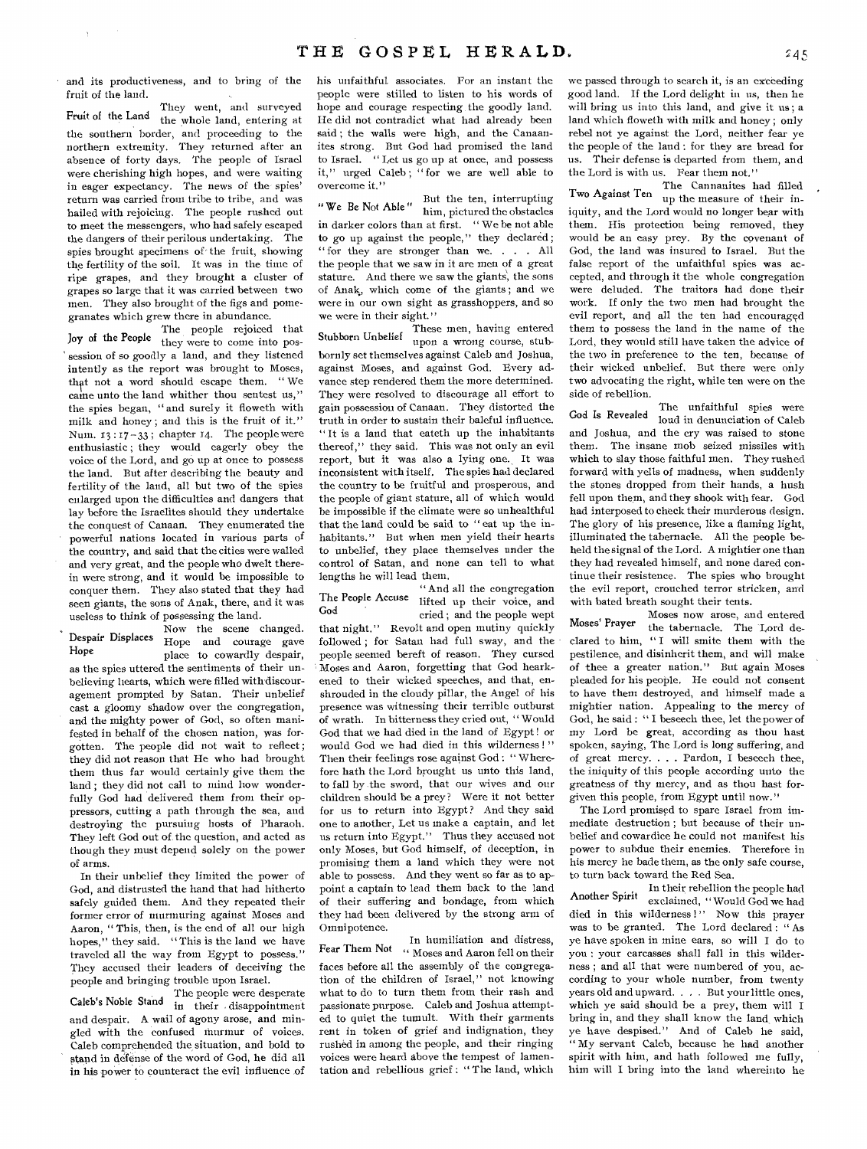and its productiveness, and to bring of the fruit of the land.

 $\Delta$ 

They went, and surveyed Fruit of the Land the whole land, entering at the southern border, and proceeding to the northern extremity. They returned after an absence of forty days. The people of Israel were cherishing high hopes, and were waiting in eager expectancy. The news of the spies' return was carried from tribe to tribe, and was hailed with rejoicing. The people rushed out to meet the messengers, who had safely escaped the dangers of their perilous undertaking. The spies brought specimens of the fruit, showing the fertility of the soil. It was in the time of ripe grapes, and they brought a cluster of grapes so large that it was carried between two men. They also brought of the figs and pomegranates which grew there in abundance.

The people rejoiced that Joy of the People they were to come into possession of so goodly a land, and they listened intently as the report was brought to Moses, that not a word should escape them. "We came unto the land whither thou sentest us," the spies began, "and surely it floweth with milk and honey; and this is the fruit of it." Num. 13 : 17-33 ; chapter 14. The people were enthusiastic ; they would eagerly obey the voice of the Lord, and go up at once to possess the land. But after describing the beauty and fertility of the land, all but two of the spies enlarged upon the difficulties and dangers that lay before the Israelites should they undertake the conquest of Canaan. They enumerated the powerful nations located in various parts of the country, and said that the cities were walled and very great, and the people who dwelt therein were strong, and it would be impossible to conquer them. They also stated that they had seen giants, the sons of Anak, there, and it was useless to think of possessing the land.

Now the scene changed. Despair Displaces Hope and courage gave place to cowardly despair, as the spies uttered the sentiments of their unbelieving hearts, which were filled with discouragement prompted by Satan. Their unbelief cast a gloomy shadow over the congregation, and the mighty power of God, so often manifested in behalf of the chosen nation, was forgotten. The people did not wait to reflect ; they did not reason that He who had brought them thus far would certainly give them the land ; they did not call to mind how wonderfully God had delivered them from their oppressors, cutting a path through the sea, and destroying the pursuing hosts of Pharaoh. They left God out of the question, and acted as though they must depend solely on the power of arms. Hope

In their unbelief they limited the power of God, and distrusted the hand that had hitherto safely guided them. And they repeated their former error of murmuring against Moses and Aaron, " This, then, is the end of all our high hopes," they said. "This is the land we have traveled all the way from Egypt to possess." They accused their leaders of deceiving the people and bringing trouble upon Israel.

The people were desperate Caleb's Noble Stand in their disappointment and despair. A wail of agony arose, and mingled with the confused murmur of voices. Caleb comprehended the situation, and bold to stand in defense of the word of God, he did all in his power to counteract the evil influence of

his unfaithful associates. For an instant the people were stilled to listen to his words of hope and courage respecting the goodly land. He did not contradict what had already been said ; the walls were high, and the Canaanites strong. But God had promised the land to Israel. " Let us go up at once, and possess it," urged Caleb; "for we are well able to overcome it."

 $\mathbf{w}$   $\mathbf{v}$   $\mathbf{v}$   $\mathbf{v}$   $\mathbf{v}$   $\mathbf{v}$   $\mathbf{v}$  and  $\mathbf{v}$  But the ten, interrupting him, pictured the obstacles in darker colors than at first. " We be not able to go up against the people," they declared; " for they are stronger than we. . . . All the people that we saw in it are men of a great stature. And there we saw the giants, the sons of Anak, which come of the giants ; and we were in our own sight as grasshoppers, and so we were in their sight."

These men, having entered Stubborn Unbelief awww.m..., bornly set themselves against Caleb and Joshua, against Moses, and against God. Every advance step rendered them the more determined. They were resolved to discourage all effort to gain possession of Canaan. They distorted the truth in order to sustain their baleful influence. "It is a land that eateth up the inhabitants thereof," they said. This was not only an evil report, but it was also a lying one. It was inconsistent with itself. The spies had declared the country to be fruitful and prosperous, and the people of giant stature, all of which would be impossible if the climate were so unhealthful that the land could be said to " eat up the inhabitants." But when men yield their hearts to unbelief, they place themselves under the control of Satan, and none can tell to what lengths he will lead them.

" And all the congregation The People Accuse lifted up their voice, and<br>God cried; and the people wept

that night." Revolt and open mutiny quickly followed ; for Satan had full sway, and the people seemed bereft of reason. They cursed Moses and Aaron, forgetting that God hearkened to their wicked speeches, and that, enshrouded in the cloudy pillar, the Angel of his presence was witnessing their terrible outburst of wrath. In bitterness they cried out, "Would God that we had died in the land of Egypt ! or would God we had died in this wilderness !" Then their feelings rose against God : " Wherefore hath the Lord brought us unto this land, to fall by the sword, that our wives and our children should be a prey ? Were it not better for us to return into Egypt? And they said one to another, Let us make a captain, and let us return into Egypt." Thus they accused not only Moses, but God himself, of deception, in promising them a land which they were not able to possess. And they went so far as to appoint a captain to lead them back to the land of their suffering and bondage, from which they had been delivered by the strong arm of Omnipotence.

In humiliation and distress, Fear Them Not Moses and Aaron fell on their faces before all the assembly of the congregation of the children of Israel," not knowing what to do to turn them from their rash and passionate purpose. Caleb and Joshua attempted to quiet the tumult. With their garments rent in token of grief and indignation, they rushed in among the people, and their ringing voices were heard above the tempest of lamentation and rebellious grief : " The land, which

we passed through to search it, is an exceeding good land. If the Lord delight in us, then he will bring us into this land, and give it us ; a land which floweth with milk and honey ; only rebel not ye against the Lord, neither fear ye the people of the land : for they are bread for us. Their defense is departed from them, and the Lord is with us. Fear them not."

Two Against Ten The Cannanites had filled<br>up the measure of their iniquity, and the Lord would no longer bear with them. His protection being removed, they would be an easy prey. By the covenant of God, the land was insured to Israel. But the false report of the unfaithful spies was accepted, and through it the whole congregation were deluded. The traitors had done their work. If only the two men had brought the evil report, and all the ten had encouraged them to possess the land in the name of the Lord, they would still have taken the advice of the two in preference to the ten, because of their wicked unbelief. But there were only two advocating the right, while ten were on the side of rebellion.

God Is Revealed loud in denunciation of Caleb and Joshua, and the cry was raised to stone them. The insane mob seized missiles with which to slay those faithful men. They rushed forward with yells of madness, when suddenly the stones dropped from their hands, a hush fell upon them, and they shook with fear. God had interposed to check their murderous design. The glory of his presence, like a flaming light, illuminated the tabernacle. All the people beheld the signal of the Lord. A mightier one than they had revealed himself, and none dared continue their resistence. The spies who brought the evil report, crouched terror stricken, and with bated breath sought their tents. The unfaithful spies were

Moses now arose, and entered Moses' Prayer the tabernacle. The Lord declared to him, " I will smite them with the pestilence, and disinherit them, and will make of thee a greater nation." But again Moses pleaded for his people. He could not consent to have them destroyed, and himself made a mightier nation. Appealing to the mercy of God, he said : " I beseech thee, let the power of my Lord be great, according as thou hast spoken, saying, The Lord is long suffering, and of great mercy. . . . Pardon, I beseech thee, the iniquity of this people according unto the greatness of thy mercy, and as thou hast forgiven this people, from Egypt until now."

The Lord promised to spare Israel from immediate destruction ; but because of their unbelief and cowardice he could not manifest his power to subdue their enemies. Therefore in his mercy he bade them, as the only safe course, to turn back toward the Red Sea.

In their rebellion the people had Another Spirit exclaimed, " Would God we had died in this wilderness!" Now this prayer was to be granted. The Lord declared : " As ye have spoken in mine ears, so will I do to you : your carcasses shall fall in this wilderness ; and all that were numbered of you, according to your whole number, from twenty years old and upward. . . . But your little ones, which ye said should be a prey, them will I bring in, and they shall know the land which ye have despised." And of Caleb he said, " My servant Caleb, because he had another spirit with him, and hath followed me fully, him will I bring into the land whereinto he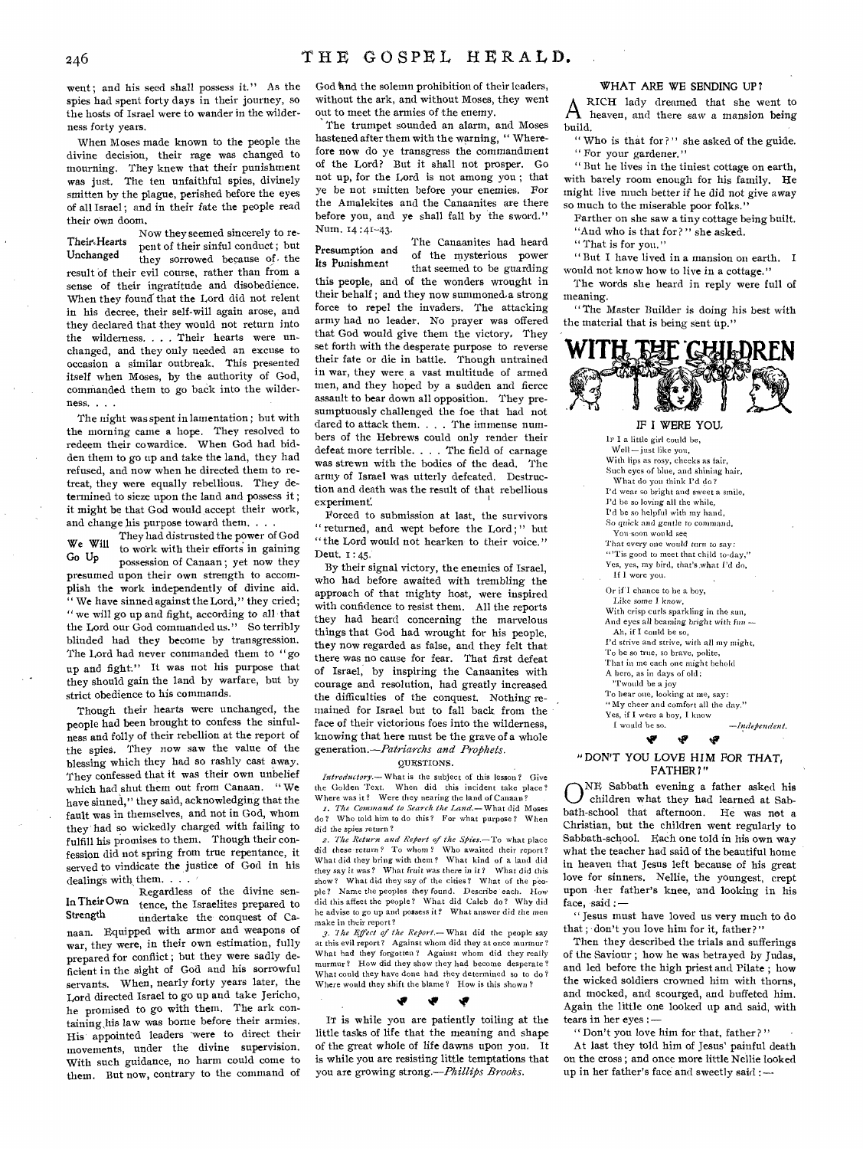went; and his seed shall possess it." As the spies had spent forty days in their journey, so the hosts of Israel were to wander in the wilderness forty years.

When Moses made known to the people the divine decision, their rage was changed to mourning. They knew that their punishment was just. The ten unfaithful spies, divinely smitten by the plague, perished before the eyes of all Israel ; and in their fate the people read their own doom.

Now they seemed sincerely to re-Their Hearts<br>Unchanged they sorrowed because of the they sorrowed because of the result of their evil course, rather than from a sense of their ingratitude and disobedience. When they found that the Lord did not relent in his decree, their self-will again arose, and they declared that they would not return into the wilderness, . . . Their hearts were unchanged, and they only needed an excuse to occasion a similar outbreak. This presented itself when Moses, by the authority of God, commanded them to go back into the wilderness. . . .

The night was spent in lamentation ; but with the morning came a hope. They resolved to redeem their cowardice. When God had bidden them to go up and take the land, they had refused, and now when he directed them to retreat, they were equally rebellious. They determined to sieze upon the land and possess it ; it might be that God would, accept their work, and change his purpose toward them. . .

They had distrusted the power of God We Will Go Up to work with their efforts in gaining possession of Canaan ; yet now they presumed upon their own strength to accomplish the work independently of divine aid. " We have sinned against the Lord," they cried; " we will go up and fight, according to all that the Lord our God commanded us." So terribly blinded had they become by transgression. The Lord had never commanded them to "go up and fight." It was not his purpose that they should gain the land by warfare, but by strict obedience to his commands.

Though their hearts were unchanged, the people had been brought to confess the sinfulness and folly of their rebellion at the report of the spies. They now saw the value of the blessing which they had so rashly cast away. They confessed that it was their own unbelief which had shut them out from Canaan. "We have sinned," they said, acknowledging that the fault was in themselves, and not in God, whom they had so wickedly charged with failing to fulfill his promises to them. Though their confession did not spring from true repentance, it served to vindicate the justice of God in his dealings with them. . . .

Regardless of the divine sen-In Their Own tence, the Israelites prepared to<br>Strength undertake the conquest of Caundertake the conquest of Canaan. Equipped with armor and weapons of war, they were, in their own estimation, fully prepared for conflict ; but they were sadly deficient in the sight of God and his sorrowful servants. When, nearly forty years later, the Lord directed Israel to go up and take Jericho, he promised to go with them. The ark containing,his law was borne before their armies. His appointed leaders 'were to direct their movements, under the divine supervision. With such guidance, no harm could come to them. But now, contrary to the command of

God and the solemn prohibition of their leaders, without the ark, and without Moses, they went out to meet the armies of the enemy.

The trumpet sounded an alarm, and Moses hastened after them with the warning, " Wherefore now do ye transgress the commandment of the Lord? But it shall not prosper. Go not up, for the Lord is not among you ; that ye be not smitten before your enemies. For the Amalekites and the Canaanites are there before you, and ye shall fall by the sword." Num. 14 :41-43.

The Canaanites had heard of the mysterious power that seemed to be guarding this people, and of the wonders wrought in their behalf ; and they now summoned.a strong force to repel the invaders. The attacking army had no leader. No prayer was offered that God would give them the victory, They set forth with the desperate purpose to reverse their fate or die in battle. Though untrained in war, they were a vast multitude of armed men, and they hoped by a sudden and fierce assault to bear down all opposition. They presumptuously challenged the foe that had not dared to attack them. . . . The immense numbers of the Hebrews could only render their defeat more terrible. . . . The field of carnage was strewn with the bodies of the dead. The army of Israel was utterly defeated. Destruction and death was the result of that rebellious experiment. Presumption and **Its** Punishment

Forced to submission at last, the survivors " returned, and wept before the Lord;" but "the Lord would not hearken- to their voice." Deut. 1 : 45.

By their signal victory, the enemies of Israel, who had before awaited with trembling the approach of that mighty host, were inspired with confidence to resist them. All the reports they had heard concerning the marvelous things that God had wrought for his people, they now regarded as false, and they felt that there was no cause for fear. That first defeat of Israel, by inspiring the Canaanites with courage and resolution, had greatly increased the difficulties of the conquest. Nothing remained for Israel but to fall back from the face of their victorious foes into the wilderness, knowing that here must be the grave of a whole *generation.—Patriarchs and Prophets.* 

#### QUESTIONS.

*Introductory.*—What is the subject of this lesson? Give the Golden Text. When did this incident take place? Where was it? Were they nearing the land of Canaan?

*I. The Command to Search the Land.—What* did Moses do? Who told him to do this? For what purpose? When did the spies return?

2. The Return and Report of the Spies.—To what place did these *return?* To whom? Who awaited their report? What did they bring with them? What kind of a land did they say it was? What *fruit was* there in it? What did this What did they say of the cities? What of the people? Name the peoples they found. Describe each. How did this affect the people? What did Caleb do? Why did he advise to go up and possess it? What answer did the men make in their report?

*3. 'I he Effect of the Report.— What* did the people say at this evil report? Against whom did they at once murmur'? What had they forgotten ? Against whom did they really murmur? How did they show they had become desperate? What could they have done had they determined so to do ? Where would they shift the blame? How is this shown?

IT is while you are patiently toiling at the little tasks of life that the meaning and shape of the great whole of life dawns upon you. It is while you are resisting little temptations that you are growing strong.—Phillips *Brooks.* 

#### **WHAT ARE WE SENDING UP ?**

A RICH lady dreamed that she went to heaven, and there saw a mansion being build.

" Who is that for?" she asked of the guide. " For your gardener."

" But he lives in the tiniest cottage on earth, with barely room enough for his family. He might live much better *if* he did not give away so much to the miserable poor folks."

Farther on she saw a tiny cottage being built. "And who is that for?" she asked.

" That is for you."

" But I have lived in a mansion on earth. I would not know how to live in a cottage."

The words she heard in reply were full of meaning.

"The Master Builder is doing his best with the material that is being sent up."



#### IF **I WERE YOU,**

**IF** I a little girl could be, Well—just like you, With lips as rosy, cheeks as fair, Such eyes of blue, and shining hair, What do you think I'd do? I'd wear so bright and sweet a smile, I'd be so loving all the while, I'd be so helpful with my hand, So quick and gentle *to* command, You-soon would see That every one would turn to *say: "'Tis* good to meet that child to-day," Yes, yes, my bird, that's what I'd do, If I were you. Or if I chance to be a boy, Like some I *know,*  With crisp curls sparkling in the sun, And eyes all beaming bright with *fun* — Ah, if I could be so, I'd strive and strive, with all my might, To he so true, so brave, polite, That in me each one might behold A hero, as in days of old; "I'would be a joy To hear one, looking at me, say: "My cheer and comfort all the day." Yes, if I were a boy, I know

 $-$ *Independent.* لای

#### **tiw "DON'T YOU LOVE HIM FOR THAT, FATHER?"**

w

ONE Sabbath evening a father asked his<br>bath-school that afternoon. He was not a NE Sabbath evening a father asked his children what they had learned at Sab-Christian, but the children went regularly to Sabbath-school. Each one told in his own way what the teacher had said of the beautiful home in heaven that Jesus left because of his great love for sinners. Nellie, the youngest, crept upon .her father's knee, and looking in his face, said :-

" Jesus must have loved us very much to do that ; don't you love him for it, father? "

Then they described the trials and sufferings of the Saviour ; how he was betrayed by Judas, and led before the high priest and Pilate ; how the wicked soldiers crowned him with thorns, and mocked, and scourged, and buffeted him. Again the little one looked up and said, with tears in her eyes : —

" Don't you love him for that, father?" At last they told him of Jesus' painful death on the cross ; and once more little Nellie looked up in her father's face and sweetly said :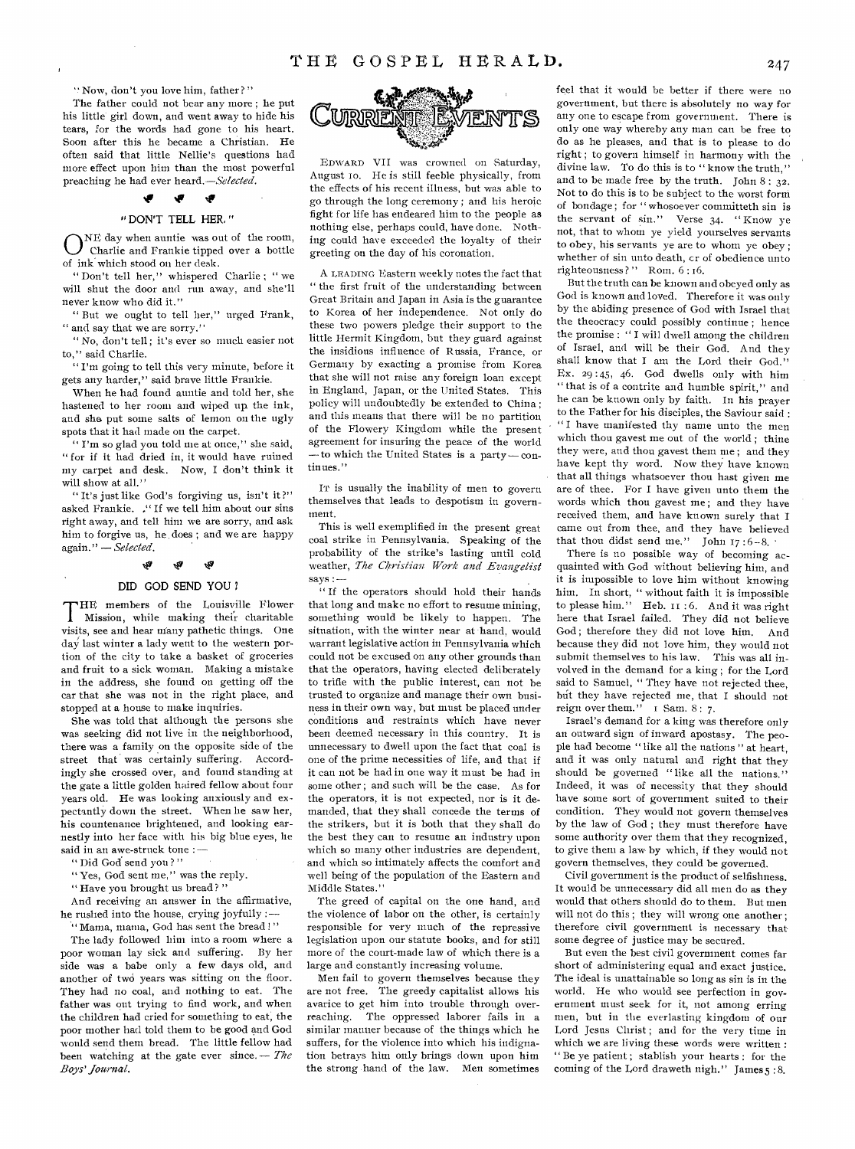"Now, don't you love him, father?"

 $\mathbf{I}$ 

The father could not bear any more ; he put his little girl down, and went away to hide his tears, for the words had gone to his heart. Soon after this he became a Christian. He often said that little Nellie's questions had more effect upon him than the most powerful preaching he had ever heard.—Selected.

## " DON'T TELL HER, "

**te** 

ONE day when auntie was out of the room,<br>Charlie and Frankie tipped over a bottle Charlie and Frankie tipped over a bottle of ink which stood on her desk.

" Don't tell her," whispered Charlie ; " we will shut the door and run away, and she'll never know who did it."

" But we ought to tell her," urged Frank, " and say that we are sorry."

" No, don't tell ; it's ever so much easier not to," said Charlie.

" I'm going to tell this very minute, before it gets any harder," said brave little Frankie.

When he had found auntie and told her, she hastened to her room and wiped up. the ink, and she put some salts of lemon on the ugly spots that it had made on the carpet.

' I'm so glad you told me at once," she said, " for if it had dried in, it would have ruined my carpet and desk. Now, I don't think it will show at all."

"It's just like God's forgiving us, isn't it?" asked Frankie. ." If we tell him about our sins right away, and tell hint we are sorry, and ask him to forgive us, he, does ; and we are happy again." — *Selected.* 

#### ا<br>آگه w

#### DID GOD SEND YOU ?

THE members of the Louisville Flower I Mission, while making their charitable visits, see and hear many pathetic things. One day last winter a lady went to the western portion of the city to take a basket of groceries and fruit to a sick woman. Making a mistake in the address, she found on getting off the car that she was not in the right place, and stopped at a house to make inquiries.

She was told that although the persons she was seeking did not live in the neighborhood, there was a family on the opposite side of the street that was certainly suffering. Accordingly she crossed over, and found standing at the gate a little golden haired fellow about four years old. He was looking anxiously and expectantly down the street. When he saw her, his countenance brightened, and looking earnestly into her face with his big blue eyes, he said in an awe-struck tone : —

" Did God send you ? " •

"Yes, God sent me," was the reply.

" Have you brought us bread?"

And receiving an answer in the affirmative, he rushed into the house, crying joyfully

" Mama, mama, God has sent the bread !" The lady followed him into a room where a poor woman lay sick and suffering. By her side was a babe only a few days old, and another of two years was sitting on the floor. They had no coal, and nothing to eat. The father was out trying to find work, and when the children had cried for something to eat; the poor mother had told them to be good and God would send them bread. The little fellow had been watching at the gate ever since. — *The Boys' Journal.* 



EDWARD VII was crowned on Saturday, August to. He is still feeble physically, from the effects of his recent illness, but was able to go through the long ceremony ; and his heroic fight for life has endeared him to the people as nothing else, perhaps could, have done. Nothing could have exceeded the loyalty of their greeting on the day of his coronation.

A LEADING Eastern weekly notes the fact that " the first fruit of the understanding between Great Britain and Japan in Asia is the guarantee to Korea of her independence. Not only do these two powers pledge their support to the little Hermit Kingdom, but they guard against the insidious influence of Russia, Prance, or Germany by exacting a promise from Korea that she will not raise any foreign loan except in England, Japan, or the United States. This policy will undoubtedly be extended to China ; and this means that there will be no partition of the Flowery Kingdom while the present agreement for insuring the peace of the world —to which the United States is a party — continues."

IT is usually the inability of men to govern themselves that leads to despotism in government.

This is well exemplified in the present great coal strike in Pennsylvania. Speaking of the probability of the strike's lasting until cold weather, *The Christian Work and Evangelist*  says :

" If the operators should hold their hands that long and make no effort to resume mining, something would be likely to happen. The situation, with the winter near at hand, would warrant legislative action in Pennsylvania which could not be excused on any other grounds than that the operators, having elected deliberately to trifle with the public interest, can not be trusted to organize and manage their own business in their own way, but must be placed under conditions and restraints which have never been deemed necessary in this country. It is unnecessary to dwell upon the fact that coal is one of the prime necessities of life, and that if it can not be had in one way it must be had in some other ; and such will be the case. As for the operators, it is not expected, nor is it demanded, that they shall concede the terms of the strikers, but it is both that they shall do the best they can to resume an industry upon which so many other industries are dependent, and which so intimately affects the comfort and well being of the population of the Eastern and Middle States."

The greed of capital on the one hand, and the violence of labor on the other, is certainly responsible for very much of the repressive legislation upon our statute books, and for still more of the court-made law of which there is a large and constantly increasing volume.

Men fail to govern themselves because they are not free. The greedy capitalist allows his avarice to get him into trouble through overreaching. The oppressed laborer fails in a similar manner because of the things which he suffers, for the violence into which his indignation betrays him only brings down upon him the strong hand of the law. Men sometimes

feel that it would be better if there were no government, but there is absolutely no way for any one to escape from government. There is only one way whereby any man can be free to do as he pleases, and that is to please to do right ; to govern himself in harmony with the divine law. To do this is to "know the truth," and to be made free by the truth. John  $8:32$ . Not to do this is to be subject to the worst form of bondage ; for " whosoever committeth sin is the servant of sin." Verse 34. " Know ye not, that to whom ye yield yourselves servants to obey, his servants ye are to whom ye obey ; whether of sin unto death, cr of obedience unto righteousness?" Rom. 6:16.

But the truth can be known and obeyed only as God is known and loved. Therefore it was only by the abiding presence of God with Israel that the theocracy could possibly continue; hence the promise : " I will dwell among the children of Israel, and will be their God. And they shall know that I am the Lord their God." Ex. 29 :45, 46. God dwells only with him " that is of a contrite and humble spirit," and he can be known only by faith. In his prayer to the Father for his disciples, the Saviour said : " I have manifested thy name unto the men which thou gayest me out of the world ; thine they were, and thou gayest them me ; and they have kept thy word. Now they have known that all things whatsoever thou hast given me are of thee. For I have given unto them the words which thou gayest me ; and they have received them, and have known surely that I came out from thee, and they have believed that thou didst send me." John  $17:6-8$ .

There is no possible way of becoming acquainted with God without believing him, and it is impossible to love him without knowing him. In short, " without faith it is impossible to please him." Heb. it : 6. And it was right here that Israel failed. They did not believe God; therefore they did not love him. And because they did not love him, they would not submit themselves to his law. This was all involved in the demand for a king ; for the Lord said to Samuel, " They have not rejected thee, but they have rejected me, that I should not reign over them." I Sam. 8: 7.

Israel's demand for a king was therefore only an outward sign of inward apostasy. The people had become " like all the nations " at heart, and it was only natural and right that they should be governed "like all the nations." Indeed, it was of necessity that they should have some sort of government suited to their condition. They would not govern themselves by the law of God ; they must therefore have some authority over them that they recognized, to give them a law by which, if they would not govern themselves, they could be governed.

Civil government is the product of selfishness. It would be unnecessary did all men do as they would that others should do to them. But men will not do this ; they will wrong one another ; therefore civil government is necessary that some degree of justice may be secured.

But even the best civil government comes far short of administering equal and exact justice. The ideal is unattainable so long as sin is in the world. He who would see perfection in government must seek for it, not among erring men, but in the everlasting kingdom of our Lord Jesus Christ; and for the very time in which we are living these words were written : " Be ye patient ; stablish your hearts : for the coming of the Lord draweth nigh." James 5 :8.